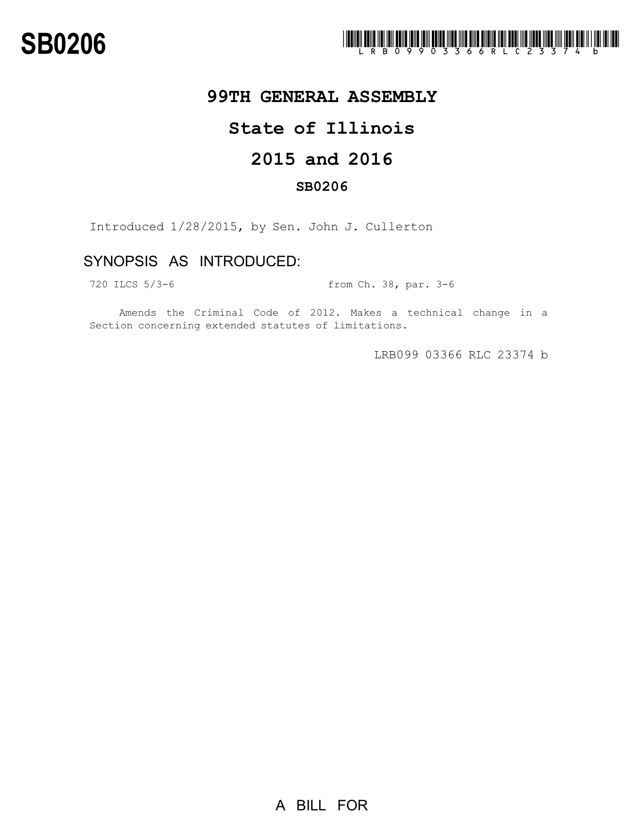

## **99TH GENERAL ASSEMBLY**

## **State of Illinois**

# **2015 and 2016**

### **SB0206**

Introduced 1/28/2015, by Sen. John J. Cullerton

## SYNOPSIS AS INTRODUCED:

720 ILCS 5/3-6 from Ch. 38, par. 3-6

Amends the Criminal Code of 2012. Makes a technical change in a Section concerning extended statutes of limitations.

LRB099 03366 RLC 23374 b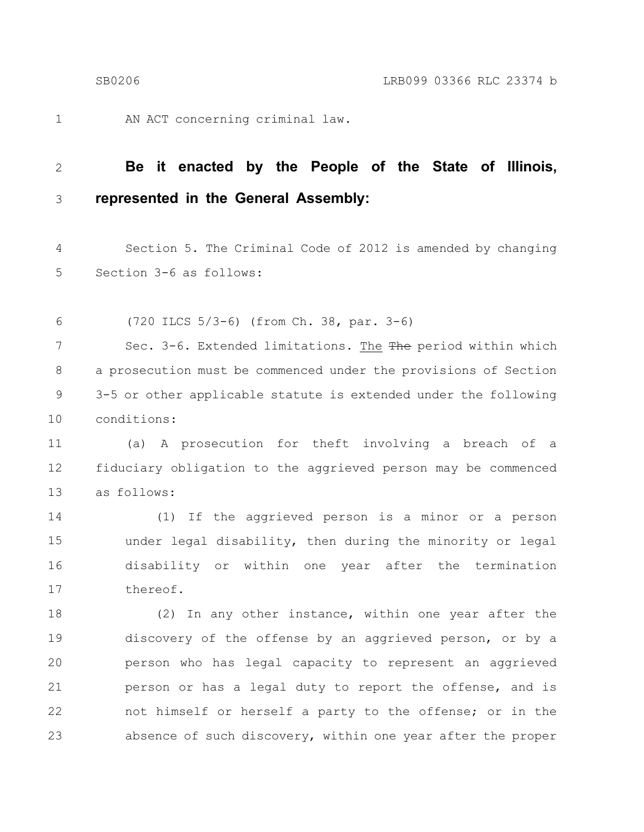1

AN ACT concerning criminal law.

#### **Be it enacted by the People of the State of Illinois, represented in the General Assembly:** 2 3

Section 5. The Criminal Code of 2012 is amended by changing Section 3-6 as follows: 4 5

(720 ILCS 5/3-6) (from Ch. 38, par. 3-6) 6

Sec. 3-6. Extended limitations. The The period within which a prosecution must be commenced under the provisions of Section 3-5 or other applicable statute is extended under the following conditions: 7 8 9 10

(a) A prosecution for theft involving a breach of a fiduciary obligation to the aggrieved person may be commenced as follows: 11 12 13

(1) If the aggrieved person is a minor or a person under legal disability, then during the minority or legal disability or within one year after the termination thereof. 14 15 16 17

(2) In any other instance, within one year after the discovery of the offense by an aggrieved person, or by a person who has legal capacity to represent an aggrieved person or has a legal duty to report the offense, and is not himself or herself a party to the offense; or in the absence of such discovery, within one year after the proper 18 19 20 21 22 23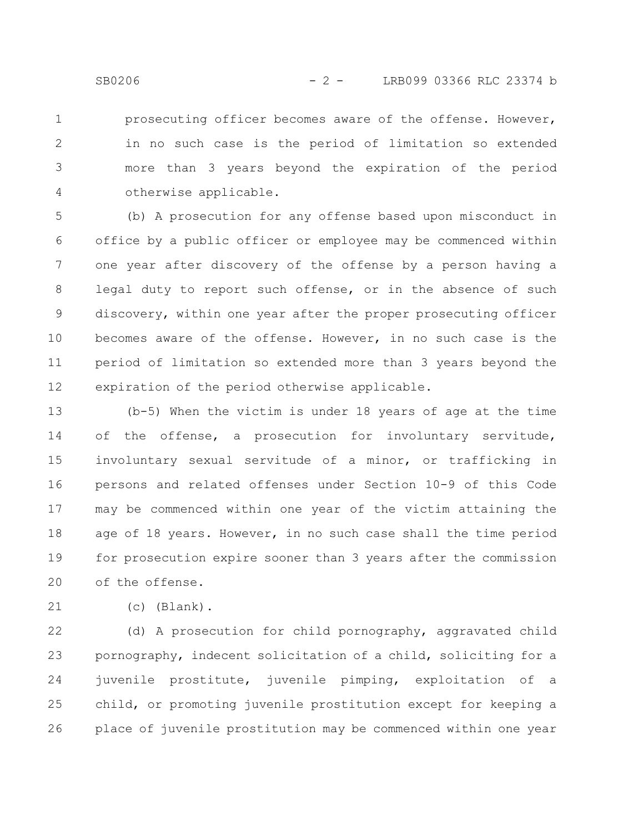prosecuting officer becomes aware of the offense. However, in no such case is the period of limitation so extended more than 3 years beyond the expiration of the period otherwise applicable. 1 2 3 4

(b) A prosecution for any offense based upon misconduct in office by a public officer or employee may be commenced within one year after discovery of the offense by a person having a legal duty to report such offense, or in the absence of such discovery, within one year after the proper prosecuting officer becomes aware of the offense. However, in no such case is the period of limitation so extended more than 3 years beyond the expiration of the period otherwise applicable. 5 6 7 8 9 10 11 12

(b-5) When the victim is under 18 years of age at the time of the offense, a prosecution for involuntary servitude, involuntary sexual servitude of a minor, or trafficking in persons and related offenses under Section 10-9 of this Code may be commenced within one year of the victim attaining the age of 18 years. However, in no such case shall the time period for prosecution expire sooner than 3 years after the commission of the offense. 13 14 15 16 17 18 19 20

(c) (Blank). 21

(d) A prosecution for child pornography, aggravated child pornography, indecent solicitation of a child, soliciting for a juvenile prostitute, juvenile pimping, exploitation of a child, or promoting juvenile prostitution except for keeping a place of juvenile prostitution may be commenced within one year 22 23 24 25 26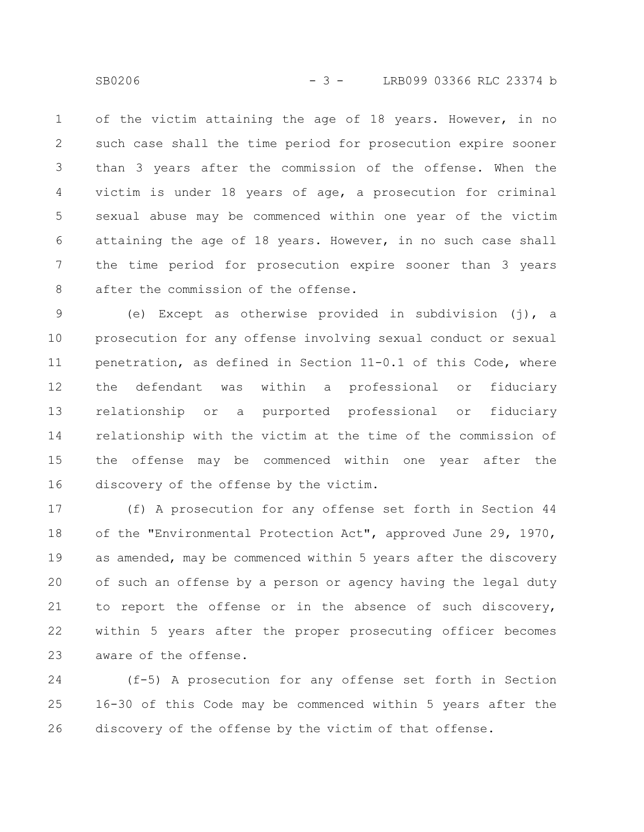of the victim attaining the age of 18 years. However, in no such case shall the time period for prosecution expire sooner than 3 years after the commission of the offense. When the victim is under 18 years of age, a prosecution for criminal sexual abuse may be commenced within one year of the victim attaining the age of 18 years. However, in no such case shall the time period for prosecution expire sooner than 3 years after the commission of the offense. 1 2 3 4 5 6 7 8

(e) Except as otherwise provided in subdivision (j), a prosecution for any offense involving sexual conduct or sexual penetration, as defined in Section 11-0.1 of this Code, where the defendant was within a professional or fiduciary relationship or a purported professional or fiduciary relationship with the victim at the time of the commission of the offense may be commenced within one year after the discovery of the offense by the victim. 9 10 11 12 13 14 15 16

(f) A prosecution for any offense set forth in Section 44 of the "Environmental Protection Act", approved June 29, 1970, as amended, may be commenced within 5 years after the discovery of such an offense by a person or agency having the legal duty to report the offense or in the absence of such discovery, within 5 years after the proper prosecuting officer becomes aware of the offense. 17 18 19 20 21 22 23

(f-5) A prosecution for any offense set forth in Section 16-30 of this Code may be commenced within 5 years after the discovery of the offense by the victim of that offense. 24 25 26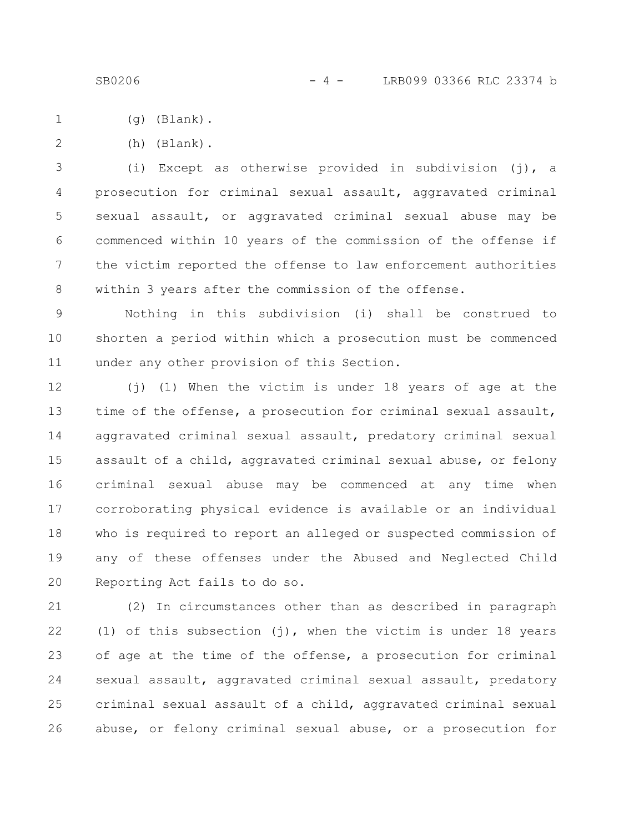- (g) (Blank). 1
- (h) (Blank). 2

(i) Except as otherwise provided in subdivision (j), a prosecution for criminal sexual assault, aggravated criminal sexual assault, or aggravated criminal sexual abuse may be commenced within 10 years of the commission of the offense if the victim reported the offense to law enforcement authorities within 3 years after the commission of the offense. 3 4 5 6 7 8

Nothing in this subdivision (i) shall be construed to shorten a period within which a prosecution must be commenced under any other provision of this Section. 9 10 11

(j) (1) When the victim is under 18 years of age at the time of the offense, a prosecution for criminal sexual assault, aggravated criminal sexual assault, predatory criminal sexual assault of a child, aggravated criminal sexual abuse, or felony criminal sexual abuse may be commenced at any time when corroborating physical evidence is available or an individual who is required to report an alleged or suspected commission of any of these offenses under the Abused and Neglected Child Reporting Act fails to do so. 12 13 14 15 16 17 18 19 20

(2) In circumstances other than as described in paragraph (1) of this subsection (j), when the victim is under 18 years of age at the time of the offense, a prosecution for criminal sexual assault, aggravated criminal sexual assault, predatory criminal sexual assault of a child, aggravated criminal sexual abuse, or felony criminal sexual abuse, or a prosecution for 21 22 23 24 25 26